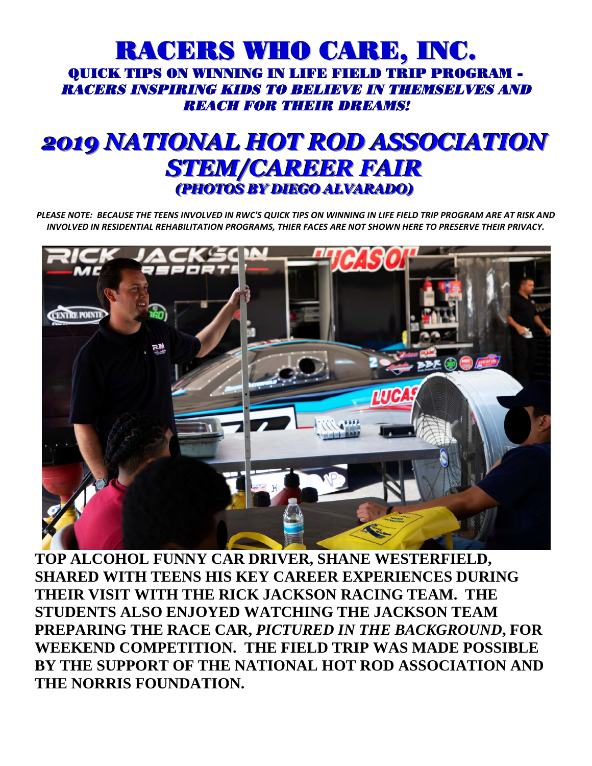## RACERS WHO CARE, INC. QUICK TIPS ON WINNING IN LIFE FIELD TRIP PROGRAM - RACERS INSPIRING KIDS TO BELIEVE IN THEMSELVES AND REACH FOR THEIR DREAMS!

## *2019 NATIONAL HOT ROD ASSOCIATION STEM/CAREER FAIR* **(PHOTOS BY DIEGO ALVARADO)**

*PLEASE NOTE: BECAUSE THE TEENS INVOLVED IN RWC'S QUICK TIPS ON WINNING IN LIFE FIELD TRIP PROGRAM ARE AT RISK AND INVOLVED IN RESIDENTIAL REHABILITATION PROGRAMS, THIER FACES ARE NOT SHOWN HERE TO PRESERVE THEIR PRIVACY.* 



**TOP ALCOHOL FUNNY CAR DRIVER, SHANE WESTERFIELD, SHARED WITH TEENS HIS KEY CAREER EXPERIENCES DURING THEIR VISIT WITH THE RICK JACKSON RACING TEAM. THE STUDENTS ALSO ENJOYED WATCHING THE JACKSON TEAM PREPARING THE RACE CAR,** *PICTURED IN THE BACKGROUND***, FOR WEEKEND COMPETITION. THE FIELD TRIP WAS MADE POSSIBLE BY THE SUPPORT OF THE NATIONAL HOT ROD ASSOCIATION AND THE NORRIS FOUNDATION.**